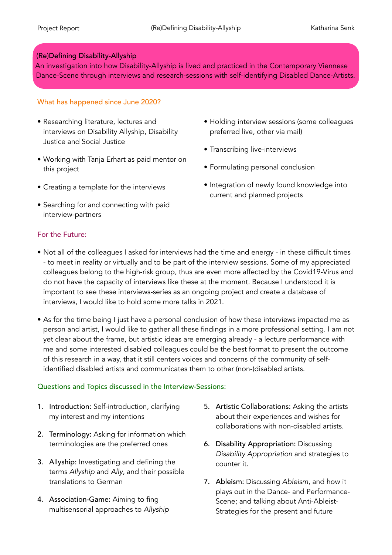## (Re)Defining Disability-Allyship

An investigation into how Disability-Allyship is lived and practiced in the Contemporary Viennese Dance-Scene through interviews and research-sessions with self-identifying Disabled Dance-Artists.

## What has happened since June 2020?

- Researching literature, lectures and interviews on Disability Allyship, Disability Justice and Social Justice
- Working with Tanja Erhart as paid mentor on this project
- Creating a template for the interviews
- Searching for and connecting with paid interview-partners
- For the Future:
- Holding interview sessions (some colleagues preferred live, other via mail)
- Transcribing live-interviews
- Formulating personal conclusion
- Integration of newly found knowledge into current and planned projects
- Not all of the colleagues I asked for interviews had the time and energy in these difficult times - to meet in reality or virtually and to be part of the interview sessions. Some of my appreciated colleagues belong to the high-risk group, thus are even more affected by the Covid19-Virus and do not have the capacity of interviews like these at the moment. Because I understood it is important to see these interviews-series as an ongoing project and create a database of interviews, I would like to hold some more talks in 2021.
- As for the time being I just have a personal conclusion of how these interviews impacted me as person and artist, I would like to gather all these findings in a more professional setting. I am not yet clear about the frame, but artistic ideas are emerging already - a lecture performance with me and some interested disabled colleagues could be the best format to present the outcome of this research in a way, that it still centers voices and concerns of the community of selfidentified disabled artists and communicates them to other (non-)disabled artists.

## Questions and Topics discussed in the Interview-Sessions:

- 1. Introduction: Self-introduction, clarifying my interest and my intentions
- 2. Terminology: Asking for information which terminologies are the preferred ones
- 3. Allyship: Investigating and defining the terms *Allyship* and *Ally*, and their possible translations to German
- 4. Association-Game: Aiming to fing multisensorial approaches to *Allyship*
- 5. Artistic Collaborations: Asking the artists about their experiences and wishes for collaborations with non-disabled artists.
- 6. Disability Appropriation: Discussing *Disability Appropriation* and strategies to counter it.
- 7. Ableism: Discussing *Ableism*, and how it plays out in the Dance- and Performance-Scene; and talking about Anti-Ableist-Strategies for the present and future